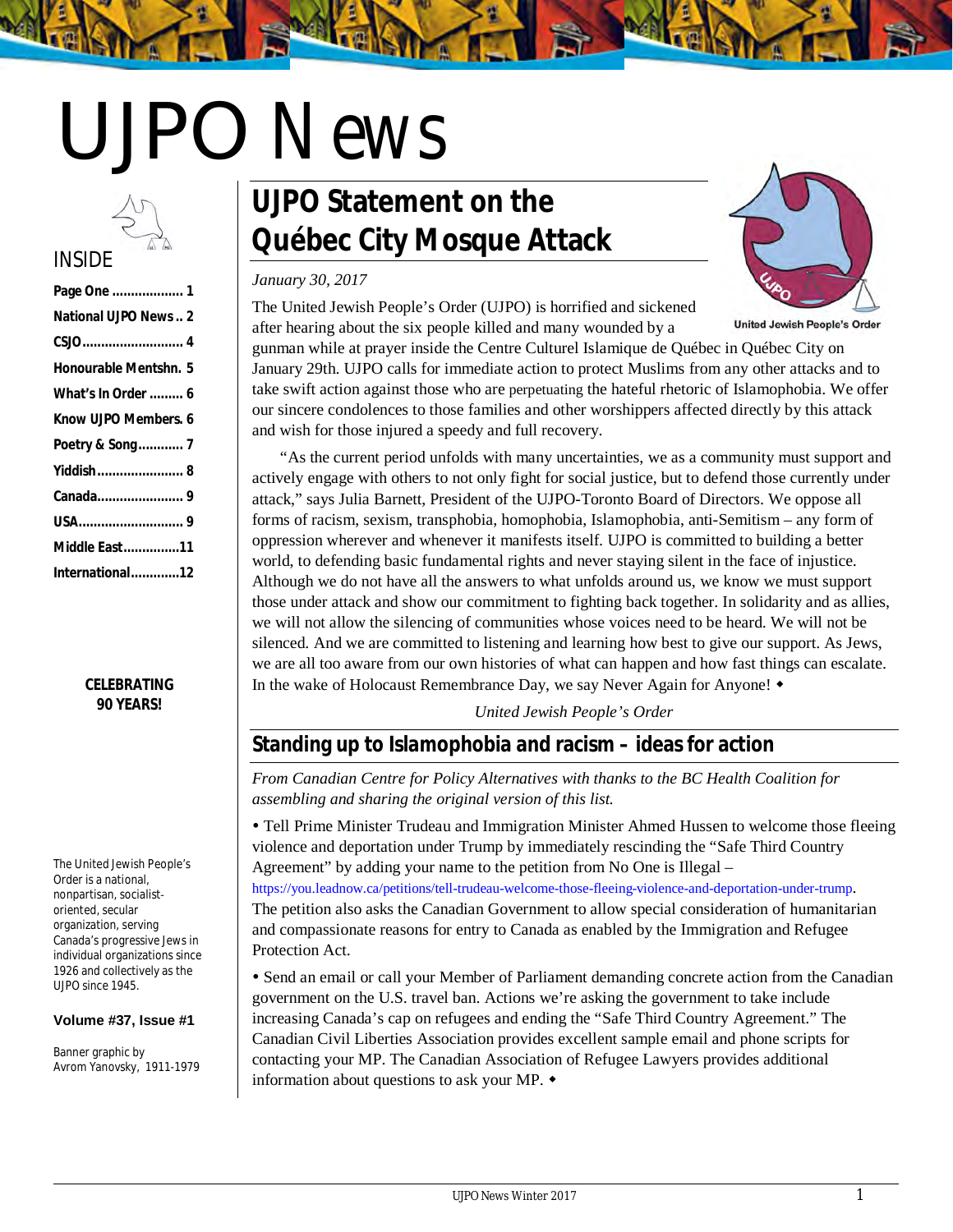# UJPO *News*

# INSIDE

| Page One  1                |
|----------------------------|
| <b>National UJPO News2</b> |
|                            |
| Honourable Mentshn, 5      |
| What's In Order  6         |
| Know UJPO Members, 6       |
| Poetry & Song 7            |
| Yiddish 8                  |
|                            |
|                            |
| <b>Middle East11</b>       |
|                            |

#### *CELEBRATING 90 YEARS!*

The United Jewish People's Order is a national, nonpartisan, socialist‐ oriented, secular organization, serving Canada's progressive Jews in individual organizations since 1926 and collectively as the UJPO since 1945.

#### **Volume #37, Issue #1**

Banner graphic by Avrom Yanovsky, 1911-1979

# **UJPO Statement on the Québec City Mosque Attack**

#### *January 30, 2017*

The United Jewish People's Order (UJPO) is horrified and sickened after hearing about the six people killed and many wounded by a



**United Jewish People's Order** 

gunman while at prayer inside the Centre Culturel Islamique de Québec in Québec City on January 29th. UJPO calls for immediate action to protect Muslims from any other attacks and to take swift action against those who are perpetuating the hateful rhetoric of Islamophobia. We offer our sincere condolences to those families and other worshippers affected directly by this attack and wish for those injured a speedy and full recovery.

"As the current period unfolds with many uncertainties, we as a community must support and actively engage with others to not only fight for social justice, but to defend those currently under attack," says Julia Barnett, President of the UJPO-Toronto Board of Directors. We oppose all forms of racism, sexism, transphobia, homophobia, Islamophobia, anti-Semitism – any form of oppression wherever and whenever it manifests itself. UJPO is committed to building a better world, to defending basic fundamental rights and never staying silent in the face of injustice. Although we do not have all the answers to what unfolds around us, we know we must support those under attack and show our commitment to fighting back together. In solidarity and as allies, we will not allow the silencing of communities whose voices need to be heard. We will not be silenced. And we are committed to listening and learning how best to give our support. As Jews, we are all too aware from our own histories of what can happen and how fast things can escalate. In the wake of Holocaust Remembrance Day, we say Never Again for Anyone!  $\bullet$ 

*United Jewish People's Order*

# **Standing up to Islamophobia and racism – ideas for action**

*From Canadian Centre for Policy Alternatives with thanks to the BC Health Coalition for assembling and sharing the original version of this list.*

 Tell Prime Minister Trudeau and Immigration Minister Ahmed Hussen to welcome those fleeing violence and deportation under Trump by immediately rescinding the "Safe Third Country Agreement" by adding your name to the petition from No One is Illegal – https://you.leadnow.ca/petitions/tell-trudeau-welcome-those-fleeing-violence-and-deportation-under-trump. The petition also asks the Canadian Government to allow special consideration of humanitarian and compassionate reasons for entry to Canada as enabled by the Immigration and Refugee Protection Act.

 Send an email or call your Member of Parliament demanding concrete action from the Canadian government on the U.S. travel ban. Actions we're asking the government to take include increasing Canada's cap on refugees and ending the "Safe Third Country Agreement." The Canadian Civil Liberties Association provides excellent sample email and phone scripts for contacting your MP. The Canadian Association of Refugee Lawyers provides additional information about questions to ask your MP.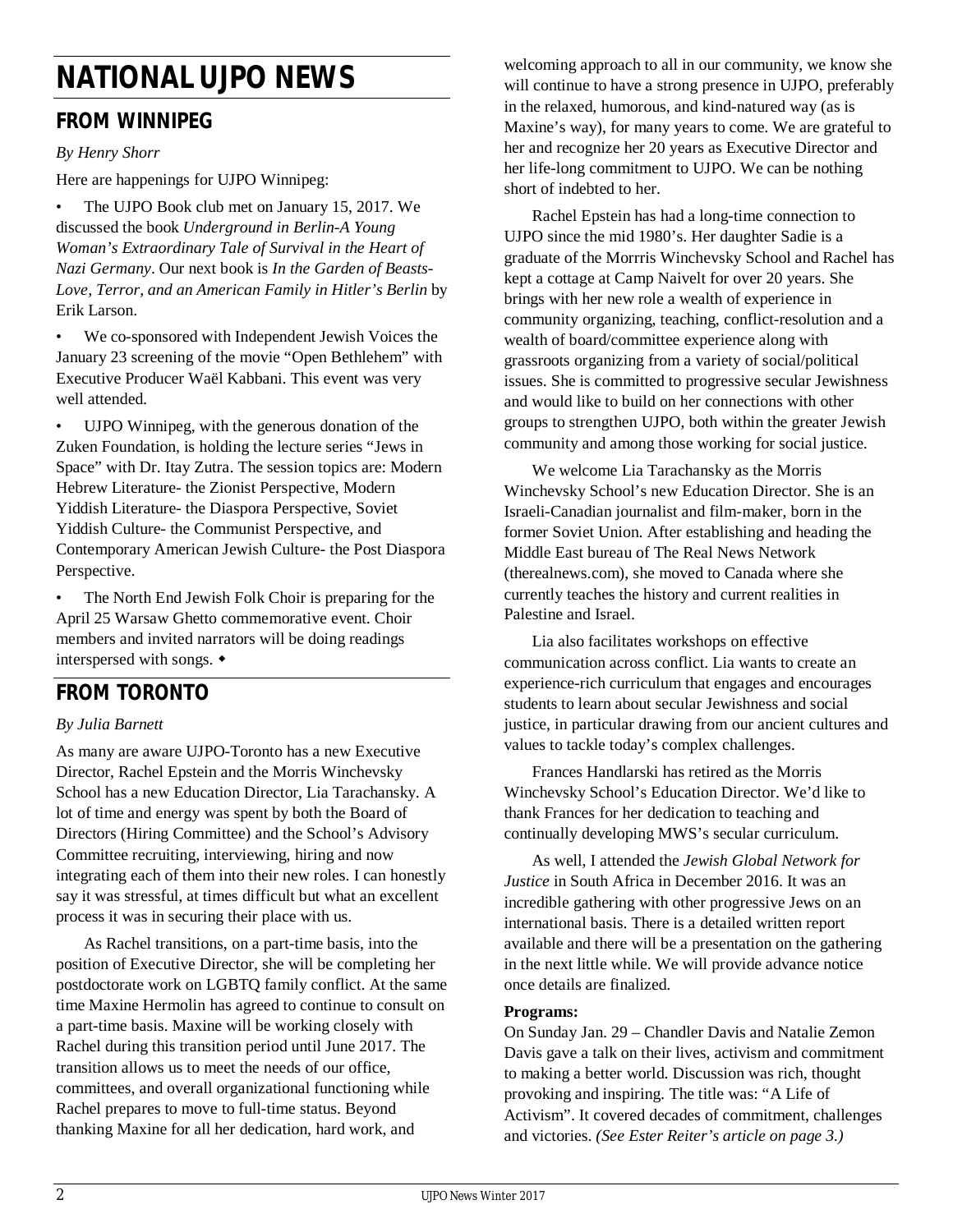# **NATIONAL UJPO NEWS**

# **FROM WINNIPEG**

### *By Henry Shorr*

Here are happenings for UJPO Winnipeg:

• The UJPO Book club met on January 15, 2017. We discussed the book *Underground in Berlin-A Young Woman's Extraordinary Tale of Survival in the Heart of Nazi Germany*. Our next book is *In the Garden of Beasts-Love, Terror, and an American Family in Hitler's Berlin* by Erik Larson.

We co-sponsored with Independent Jewish Voices the January 23 screening of the movie "Open Bethlehem" with Executive Producer Waël Kabbani. This event was very well attended.

UJPO Winnipeg, with the generous donation of the Zuken Foundation, is holding the lecture series "Jews in Space" with Dr. Itay Zutra. The session topics are: Modern Hebrew Literature- the Zionist Perspective, Modern Yiddish Literature- the Diaspora Perspective, Soviet Yiddish Culture- the Communist Perspective, and Contemporary American Jewish Culture- the Post Diaspora Perspective.

The North End Jewish Folk Choir is preparing for the April 25 Warsaw Ghetto commemorative event. Choir members and invited narrators will be doing readings interspersed with songs.

# **FROM TORONTO**

### *By Julia Barnett*

As many are aware UJPO-Toronto has a new Executive Director, Rachel Epstein and the Morris Winchevsky School has a new Education Director, Lia Tarachansky. A lot of time and energy was spent by both the Board of Directors (Hiring Committee) and the School's Advisory Committee recruiting, interviewing, hiring and now integrating each of them into their new roles. I can honestly say it was stressful, at times difficult but what an excellent process it was in securing their place with us.

As Rachel transitions, on a part-time basis, into the position of Executive Director, she will be completing her postdoctorate work on LGBTQ family conflict. At the same time Maxine Hermolin has agreed to continue to consult on a part-time basis. Maxine will be working closely with Rachel during this transition period until June 2017. The transition allows us to meet the needs of our office, committees, and overall organizational functioning while Rachel prepares to move to full-time status. Beyond thanking Maxine for all her dedication, hard work, and

welcoming approach to all in our community, we know she will continue to have a strong presence in UJPO, preferably in the relaxed, humorous, and kind-natured way (as is Maxine's way), for many years to come. We are grateful to her and recognize her 20 years as Executive Director and her life-long commitment to UJPO. We can be nothing short of indebted to her.

Rachel Epstein has had a long-time connection to UJPO since the mid 1980's. Her daughter Sadie is a graduate of the Morrris Winchevsky School and Rachel has kept a cottage at Camp Naivelt for over 20 years. She brings with her new role a wealth of experience in community organizing, teaching, conflict-resolution and a wealth of board/committee experience along with grassroots organizing from a variety of social/political issues. She is committed to progressive secular Jewishness and would like to build on her connections with other groups to strengthen UJPO, both within the greater Jewish community and among those working for social justice.

We welcome Lia Tarachansky as the Morris Winchevsky School's new Education Director. She is an Israeli-Canadian journalist and film-maker, born in the former Soviet Union. After establishing and heading the Middle East bureau of The Real News Network (therealnews.com), she moved to Canada where she currently teaches the history and current realities in Palestine and Israel.

Lia also facilitates workshops on effective communication across conflict. Lia wants to create an experience-rich curriculum that engages and encourages students to learn about secular Jewishness and social justice, in particular drawing from our ancient cultures and values to tackle today's complex challenges.

Frances Handlarski has retired as the Morris Winchevsky School's Education Director. We'd like to thank Frances for her dedication to teaching and continually developing MWS's secular curriculum.

As well, I attended the *Jewish Global Network for Justice* in South Africa in December 2016. It was an incredible gathering with other progressive Jews on an international basis. There is a detailed written report available and there will be a presentation on the gathering in the next little while. We will provide advance notice once details are finalized.

#### **Programs:**

On Sunday Jan. 29 – Chandler Davis and Natalie Zemon Davis gave a talk on their lives, activism and commitment to making a better world. Discussion was rich, thought provoking and inspiring. The title was: "A Life of Activism". It covered decades of commitment, challenges and victories. *(See Ester Reiter's article on page 3.)*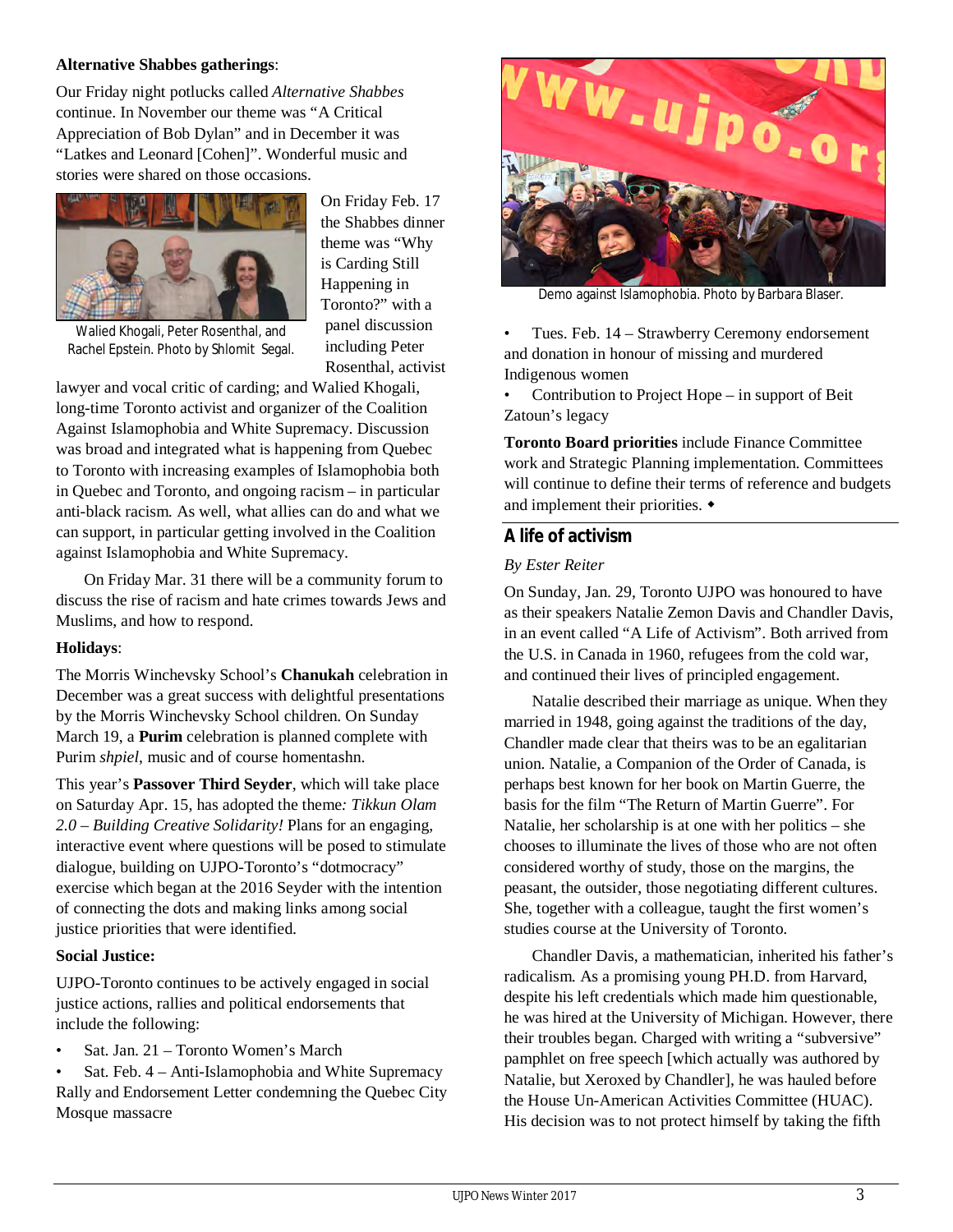#### **Alternative Shabbes gatherings**:

Our Friday night potlucks called *Alternative Shabbes* continue. In November our theme was "A Critical Appreciation of Bob Dylan" and in December it was "Latkes and Leonard [Cohen]". Wonderful music and stories were shared on those occasions.



On Friday Feb. 17 the Shabbes dinner theme was "Why is Carding Still Happening in Toronto?" with a panel discussion including Peter Rosenthal, activist

Walied Khogali, Peter Rosenthal, and Rachel Epstein. Photo by Shlomit Segal.

lawyer and vocal critic of carding; and Walied Khogali, long-time Toronto activist and organizer of the Coalition Against Islamophobia and White Supremacy. Discussion was broad and integrated what is happening from Quebec to Toronto with increasing examples of Islamophobia both in Quebec and Toronto, and ongoing racism – in particular anti-black racism. As well, what allies can do and what we can support, in particular getting involved in the Coalition against Islamophobia and White Supremacy.

On Friday Mar. 31 there will be a community forum to discuss the rise of racism and hate crimes towards Jews and Muslims, and how to respond.

#### **Holidays**:

The Morris Winchevsky School's **Chanukah** celebration in December was a great success with delightful presentations by the Morris Winchevsky School children. On Sunday March 19, a **Purim** celebration is planned complete with Purim *shpiel*, music and of course homentashn.

This year's **Passover Third Seyder**, which will take place on Saturday Apr. 15, has adopted the theme*: Tikkun Olam 2.0 – Building Creative Solidarity!* Plans for an engaging, interactive event where questions will be posed to stimulate dialogue, building on UJPO-Toronto's "dotmocracy" exercise which began at the 2016 Seyder with the intention of connecting the dots and making links among social justice priorities that were identified.

#### **Social Justice:**

UJPO-Toronto continues to be actively engaged in social justice actions, rallies and political endorsements that include the following:

• Sat. Jan. 21 – Toronto Women's March

• Sat. Feb. 4 – Anti-Islamophobia and White Supremacy Rally and Endorsement Letter condemning the Quebec City Mosque massacre



Demo against Islamophobia. Photo by Barbara Blaser.

• Tues. Feb. 14 – Strawberry Ceremony endorsement and donation in honour of missing and murdered Indigenous women

• Contribution to Project Hope – in support of Beit Zatoun's legacy

**Toronto Board priorities** include Finance Committee work and Strategic Planning implementation. Committees will continue to define their terms of reference and budgets and implement their priorities.  $\triangleleft$ 

### **A life of activism**

#### *By Ester Reiter*

On Sunday, Jan. 29, Toronto UJPO was honoured to have as their speakers Natalie Zemon Davis and Chandler Davis, in an event called "A Life of Activism". Both arrived from the U.S. in Canada in 1960, refugees from the cold war, and continued their lives of principled engagement.

Natalie described their marriage as unique. When they married in 1948, going against the traditions of the day, Chandler made clear that theirs was to be an egalitarian union. Natalie, a Companion of the Order of Canada, is perhaps best known for her book on Martin Guerre, the basis for the film "The Return of Martin Guerre". For Natalie, her scholarship is at one with her politics – she chooses to illuminate the lives of those who are not often considered worthy of study, those on the margins, the peasant, the outsider, those negotiating different cultures. She, together with a colleague, taught the first women's studies course at the University of Toronto.

Chandler Davis, a mathematician, inherited his father's radicalism. As a promising young PH.D. from Harvard, despite his left credentials which made him questionable, he was hired at the University of Michigan. However, there their troubles began. Charged with writing a "subversive" pamphlet on free speech [which actually was authored by Natalie, but Xeroxed by Chandler], he was hauled before the House Un-American Activities Committee (HUAC). His decision was to not protect himself by taking the fifth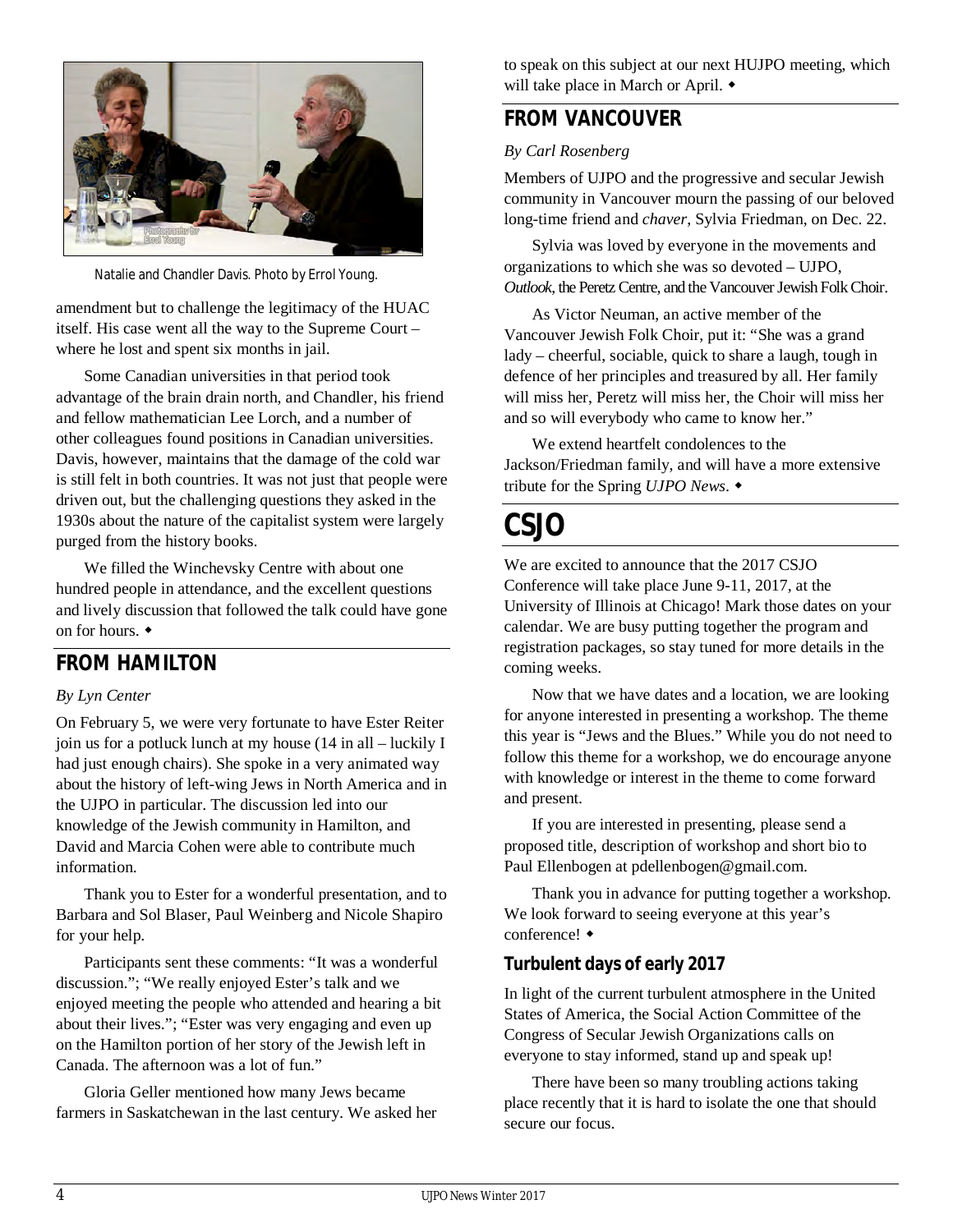

Natalie and Chandler Davis. Photo by Errol Young.

amendment but to challenge the legitimacy of the HUAC itself. His case went all the way to the Supreme Court – where he lost and spent six months in jail.

Some Canadian universities in that period took advantage of the brain drain north, and Chandler, his friend and fellow mathematician Lee Lorch, and a number of other colleagues found positions in Canadian universities. Davis, however, maintains that the damage of the cold war is still felt in both countries. It was not just that people were driven out, but the challenging questions they asked in the 1930s about the nature of the capitalist system were largely purged from the history books.

We filled the Winchevsky Centre with about one hundred people in attendance, and the excellent questions and lively discussion that followed the talk could have gone on for hours.

# **FROM HAMILTON**

#### *By Lyn Center*

On February 5, we were very fortunate to have Ester Reiter join us for a potluck lunch at my house (14 in all – luckily I had just enough chairs). She spoke in a very animated way about the history of left-wing Jews in North America and in the UJPO in particular. The discussion led into our knowledge of the Jewish community in Hamilton, and David and Marcia Cohen were able to contribute much information.

Thank you to Ester for a wonderful presentation, and to Barbara and Sol Blaser, Paul Weinberg and Nicole Shapiro for your help.

Participants sent these comments: "It was a wonderful discussion."; "We really enjoyed Ester's talk and we enjoyed meeting the people who attended and hearing a bit about their lives."; "Ester was very engaging and even up on the Hamilton portion of her story of the Jewish left in Canada. The afternoon was a lot of fun."

Gloria Geller mentioned how many Jews became farmers in Saskatchewan in the last century. We asked her to speak on this subject at our next HUJPO meeting, which will take place in March or April.  $\bullet$ 

# **FROM VANCOUVER**

### *By Carl Rosenberg*

Members of UJPO and the progressive and secular Jewish community in Vancouver mourn the passing of our beloved long-time friend and *chaver*, Sylvia Friedman, on Dec. 22.

Sylvia was loved by everyone in the movements and organizations to which she was so devoted – UJPO, *Outlook*, the Peretz Centre, and the Vancouver Jewish Folk Choir.

As Victor Neuman, an active member of the Vancouver Jewish Folk Choir, put it: "She was a grand lady – cheerful, sociable, quick to share a laugh, tough in defence of her principles and treasured by all. Her family will miss her, Peretz will miss her, the Choir will miss her and so will everybody who came to know her."

We extend heartfelt condolences to the Jackson/Friedman family, and will have a more extensive tribute for the Spring *UJPO News*.

# **CSJO**

We are excited to announce that the 2017 CSJO Conference will take place June 9-11, 2017, at the University of Illinois at Chicago! Mark those dates on your calendar. We are busy putting together the program and registration packages, so stay tuned for more details in the coming weeks.

Now that we have dates and a location, we are looking for anyone interested in presenting a workshop. The theme this year is "Jews and the Blues." While you do not need to follow this theme for a workshop, we do encourage anyone with knowledge or interest in the theme to come forward and present.

If you are interested in presenting, please send a proposed title, description of workshop and short bio to Paul Ellenbogen at pdellenbogen@gmail.com.

Thank you in advance for putting together a workshop. We look forward to seeing everyone at this year's conference!

# **Turbulent days of early 2017**

In light of the current turbulent atmosphere in the United States of America, the Social Action Committee of the Congress of Secular Jewish Organizations calls on everyone to stay informed, stand up and speak up!

There have been so many troubling actions taking place recently that it is hard to isolate the one that should secure our focus.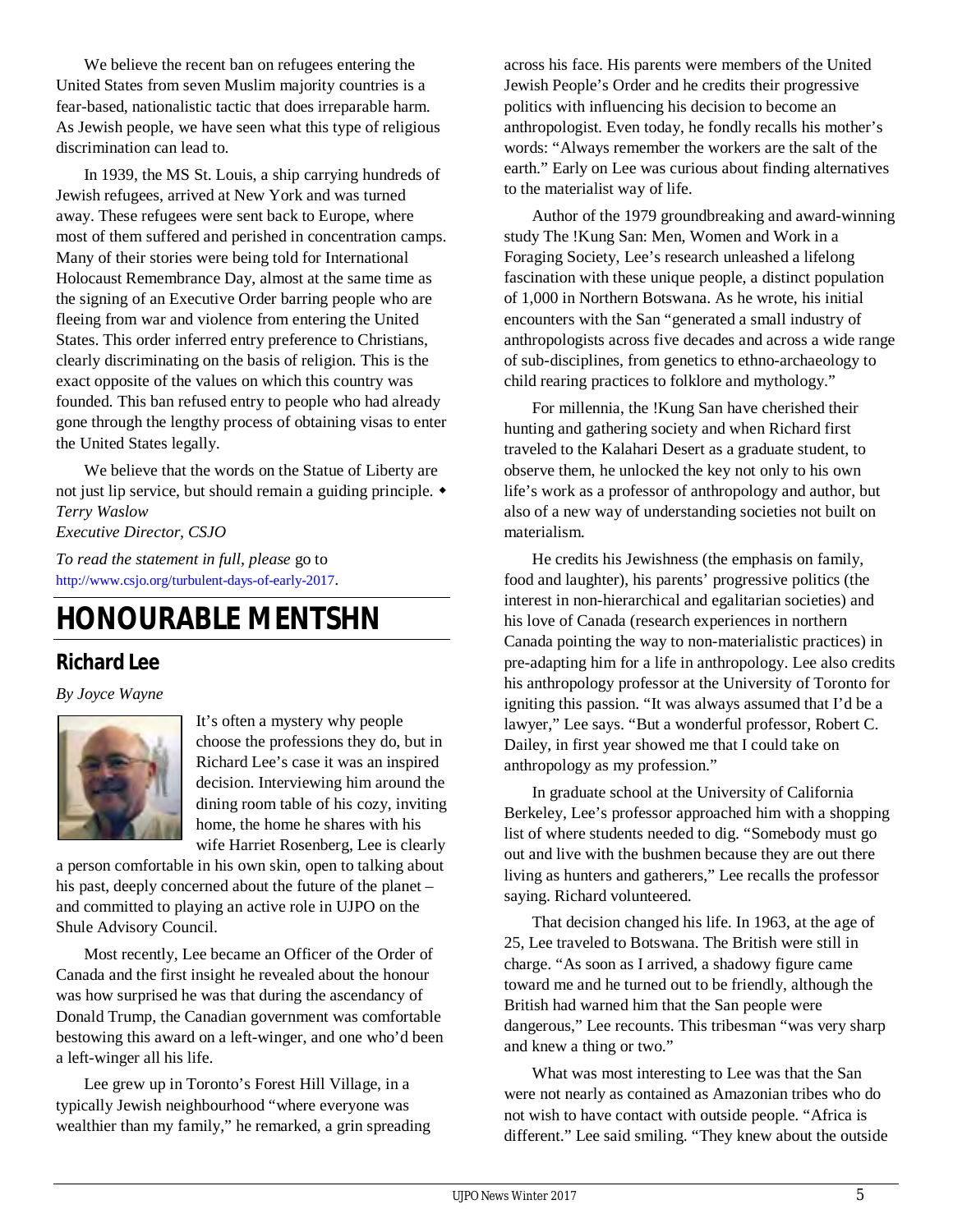We believe the recent ban on refugees entering the United States from seven Muslim majority countries is a fear-based, nationalistic tactic that does irreparable harm. As Jewish people, we have seen what this type of religious discrimination can lead to.

In 1939, the MS St. Louis, a ship carrying hundreds of Jewish refugees, arrived at New York and was turned away. These refugees were sent back to Europe, where most of them suffered and perished in concentration camps. Many of their stories were being told for International Holocaust Remembrance Day, almost at the same time as the signing of an Executive Order barring people who are fleeing from war and violence from entering the United States. This order inferred entry preference to Christians, clearly discriminating on the basis of religion. This is the exact opposite of the values on which this country was founded. This ban refused entry to people who had already gone through the lengthy process of obtaining visas to enter the United States legally.

We believe that the words on the Statue of Liberty are not just lip service, but should remain a guiding principle. *Terry Waslow*

### *Executive Director, CSJO*

*To read the statement in full, please* go to http://www.csjo.org/turbulent-days-of-early-2017.

# **HONOURABLE MENTSHN**

# **Richard Lee**

*By Joyce Wayne*



It's often a mystery why people choose the professions they do, but in Richard Lee's case it was an inspired decision. Interviewing him around the dining room table of his cozy, inviting home, the home he shares with his wife Harriet Rosenberg, Lee is clearly

a person comfortable in his own skin, open to talking about his past, deeply concerned about the future of the planet – and committed to playing an active role in UJPO on the Shule Advisory Council.

Most recently, Lee became an Officer of the Order of Canada and the first insight he revealed about the honour was how surprised he was that during the ascendancy of Donald Trump, the Canadian government was comfortable bestowing this award on a left-winger, and one who'd been a left-winger all his life.

Lee grew up in Toronto's Forest Hill Village, in a typically Jewish neighbourhood "where everyone was wealthier than my family," he remarked, a grin spreading

across his face. His parents were members of the United Jewish People's Order and he credits their progressive politics with influencing his decision to become an anthropologist. Even today, he fondly recalls his mother's words: "Always remember the workers are the salt of the earth." Early on Lee was curious about finding alternatives to the materialist way of life.

Author of the 1979 groundbreaking and award-winning study The !Kung San: Men, Women and Work in a Foraging Society, Lee's research unleashed a lifelong fascination with these unique people, a distinct population of 1,000 in Northern Botswana. As he wrote, his initial encounters with the San "generated a small industry of anthropologists across five decades and across a wide range of sub-disciplines, from genetics to ethno-archaeology to child rearing practices to folklore and mythology."

For millennia, the !Kung San have cherished their hunting and gathering society and when Richard first traveled to the Kalahari Desert as a graduate student, to observe them, he unlocked the key not only to his own life's work as a professor of anthropology and author, but also of a new way of understanding societies not built on materialism.

He credits his Jewishness (the emphasis on family, food and laughter), his parents' progressive politics (the interest in non-hierarchical and egalitarian societies) and his love of Canada (research experiences in northern Canada pointing the way to non-materialistic practices) in pre-adapting him for a life in anthropology. Lee also credits his anthropology professor at the University of Toronto for igniting this passion. "It was always assumed that I'd be a lawyer," Lee says. "But a wonderful professor, Robert C. Dailey, in first year showed me that I could take on anthropology as my profession."

In graduate school at the University of California Berkeley, Lee's professor approached him with a shopping list of where students needed to dig. "Somebody must go out and live with the bushmen because they are out there living as hunters and gatherers," Lee recalls the professor saying. Richard volunteered.

That decision changed his life. In 1963, at the age of 25, Lee traveled to Botswana. The British were still in charge. "As soon as I arrived, a shadowy figure came toward me and he turned out to be friendly, although the British had warned him that the San people were dangerous," Lee recounts. This tribesman "was very sharp and knew a thing or two."

What was most interesting to Lee was that the San were not nearly as contained as Amazonian tribes who do not wish to have contact with outside people. "Africa is different." Lee said smiling. "They knew about the outside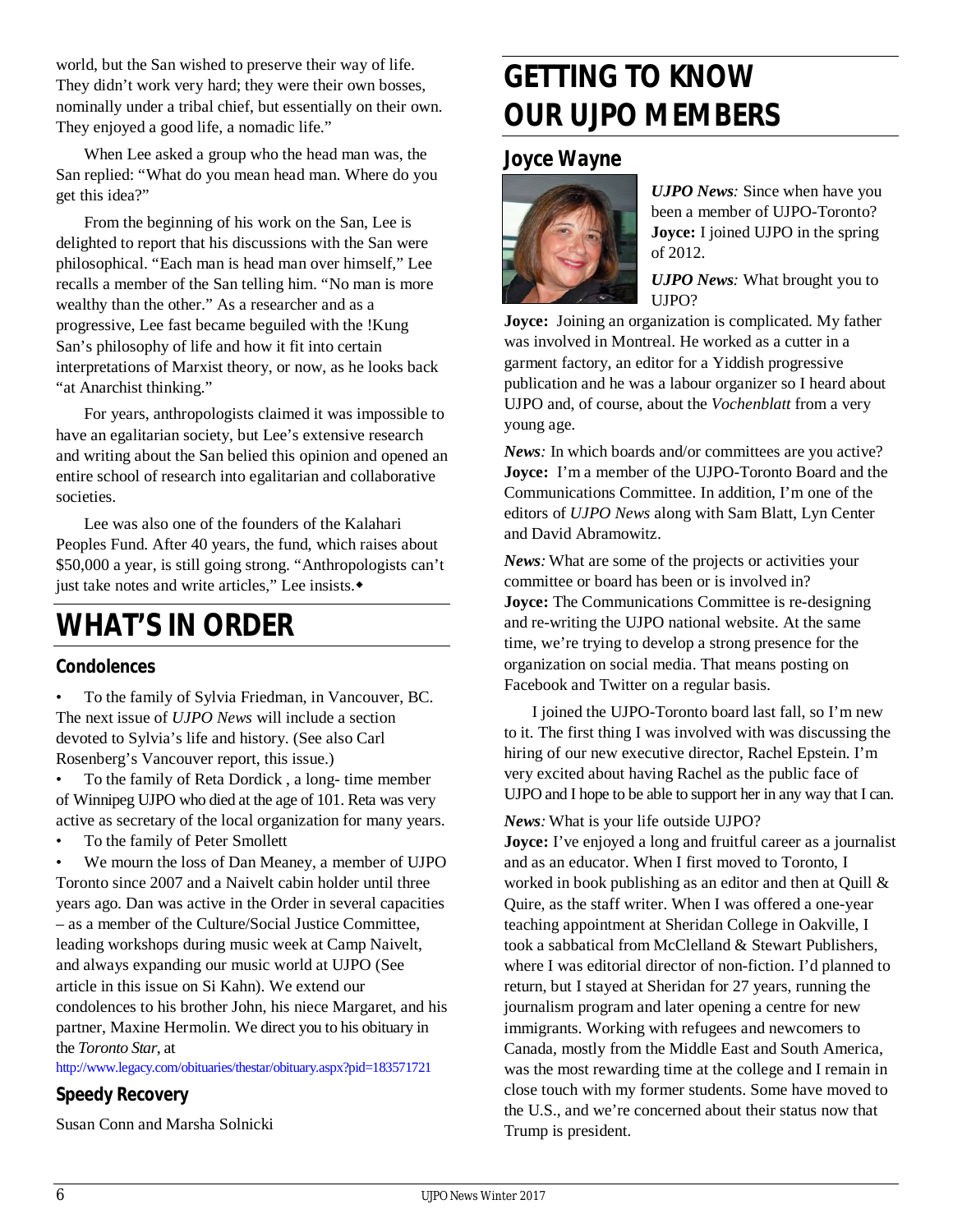world, but the San wished to preserve their way of life. They didn't work very hard; they were their own bosses, nominally under a tribal chief, but essentially on their own. They enjoyed a good life, a nomadic life."

When Lee asked a group who the head man was, the San replied: "What do you mean head man. Where do you get this idea?"

From the beginning of his work on the San, Lee is delighted to report that his discussions with the San were philosophical. "Each man is head man over himself," Lee recalls a member of the San telling him. "No man is more wealthy than the other." As a researcher and as a progressive, Lee fast became beguiled with the !Kung San's philosophy of life and how it fit into certain interpretations of Marxist theory, or now, as he looks back "at Anarchist thinking."

For years, anthropologists claimed it was impossible to have an egalitarian society, but Lee's extensive research and writing about the San belied this opinion and opened an entire school of research into egalitarian and collaborative societies.

Lee was also one of the founders of the Kalahari Peoples Fund. After 40 years, the fund, which raises about \$50,000 a year, is still going strong. "Anthropologists can't just take notes and write articles," Lee insists.

# **WHAT'S IN ORDER**

### **Condolences**

• To the family of Sylvia Friedman, in Vancouver, BC. The next issue of *UJPO News* will include a section devoted to Sylvia's life and history. (See also Carl Rosenberg's Vancouver report, this issue.)

• To the family of Reta Dordick , a long- time member of Winnipeg UJPO who died at the age of 101. Reta was very active as secretary of the local organization for many years.

To the family of Peter Smollett

We mourn the loss of Dan Meaney, a member of UJPO Toronto since 2007 and a Naivelt cabin holder until three years ago. Dan was active in the Order in several capacities – as a member of the Culture/Social Justice Committee, leading workshops during music week at Camp Naivelt, and always expanding our music world at UJPO (See article in this issue on Si Kahn). We extend our condolences to his brother John, his niece Margaret, and his partner, Maxine Hermolin. We direct you to his obituary in the *Toronto Star*, at

http://www.legacy.com/obituaries/thestar/obituary.aspx?pid=183571721

# **Speedy Recovery**

Susan Conn and Marsha Solnicki

# **GETTING TO KNOW OUR UJPO MEMBERS**

### **Joyce Wayne**



*UJPO News:* Since when have you been a member of UJPO-Toronto? **Joyce:** I joined UJPO in the spring of 2012.

*UJPO News:* What brought you to UJPO?

**Joyce:** Joining an organization is complicated. My father was involved in Montreal. He worked as a cutter in a garment factory, an editor for a Yiddish progressive publication and he was a labour organizer so I heard about UJPO and, of course, about the *Vochenblatt* from a very young age.

*News:* In which boards and/or committees are you active? **Joyce:** I'm a member of the UJPO-Toronto Board and the Communications Committee. In addition, I'm one of the editors of *UJPO News* along with Sam Blatt, Lyn Center and David Abramowitz.

*News:* What are some of the projects or activities your committee or board has been or is involved in? **Joyce:** The Communications Committee is re-designing and re-writing the UJPO national website. At the same time, we're trying to develop a strong presence for the organization on social media. That means posting on Facebook and Twitter on a regular basis.

I joined the UJPO-Toronto board last fall, so I'm new to it. The first thing I was involved with was discussing the hiring of our new executive director, Rachel Epstein. I'm very excited about having Rachel as the public face of UJPO and I hope to be able to support her in any way that I can.

### *News:* What is your life outside UJPO?

**Joyce:** I've enjoyed a long and fruitful career as a journalist and as an educator. When I first moved to Toronto, I worked in book publishing as an editor and then at Quill & Quire, as the staff writer. When I was offered a one-year teaching appointment at Sheridan College in Oakville, I took a sabbatical from McClelland & Stewart Publishers, where I was editorial director of non-fiction. I'd planned to return, but I stayed at Sheridan for 27 years, running the journalism program and later opening a centre for new immigrants. Working with refugees and newcomers to Canada, mostly from the Middle East and South America, was the most rewarding time at the college and I remain in close touch with my former students. Some have moved to the U.S., and we're concerned about their status now that Trump is president.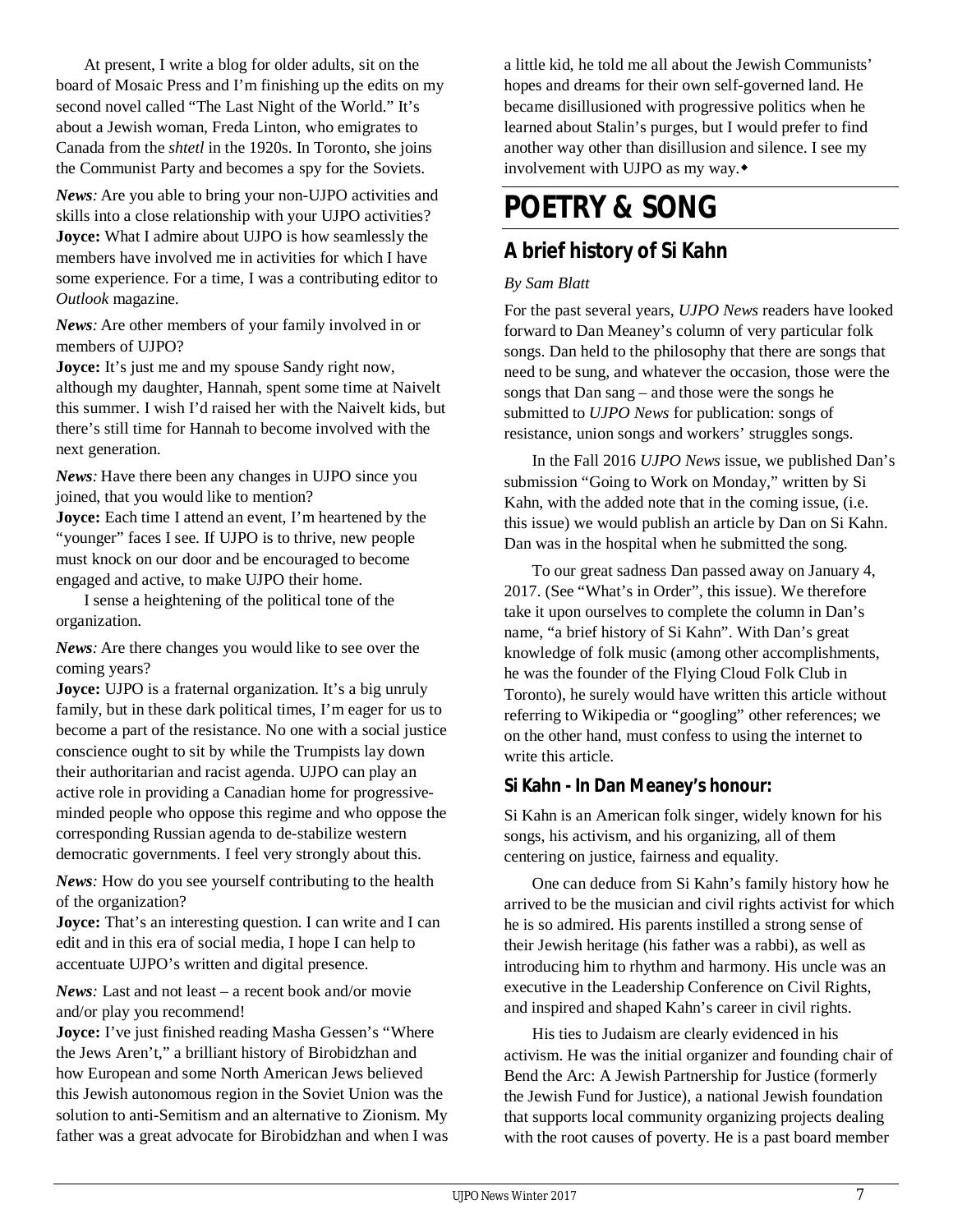At present, I write a blog for older adults, sit on the board of Mosaic Press and I'm finishing up the edits on my second novel called "The Last Night of the World." It's about a Jewish woman, Freda Linton, who emigrates to Canada from the *shtetl* in the 1920s. In Toronto, she joins the Communist Party and becomes a spy for the Soviets.

*News:* Are you able to bring your non-UJPO activities and skills into a close relationship with your UJPO activities? **Joyce:** What I admire about UJPO is how seamlessly the members have involved me in activities for which I have some experience. For a time, I was a contributing editor to *Outlook* magazine.

*News:* Are other members of your family involved in or members of UJPO?

**Joyce:** It's just me and my spouse Sandy right now, although my daughter, Hannah, spent some time at Naivelt this summer. I wish I'd raised her with the Naivelt kids, but there's still time for Hannah to become involved with the next generation.

*News:* Have there been any changes in UJPO since you joined, that you would like to mention?

**Joyce:** Each time I attend an event, I'm heartened by the "younger" faces I see. If UJPO is to thrive, new people must knock on our door and be encouraged to become engaged and active, to make UJPO their home.

I sense a heightening of the political tone of the organization.

*News:* Are there changes you would like to see over the coming years?

**Joyce:** UJPO is a fraternal organization. It's a big unruly family, but in these dark political times, I'm eager for us to become a part of the resistance. No one with a social justice conscience ought to sit by while the Trumpists lay down their authoritarian and racist agenda. UJPO can play an active role in providing a Canadian home for progressiveminded people who oppose this regime and who oppose the corresponding Russian agenda to de-stabilize western democratic governments. I feel very strongly about this.

*News:* How do you see yourself contributing to the health of the organization?

**Joyce:** That's an interesting question. I can write and I can edit and in this era of social media, I hope I can help to accentuate UJPO's written and digital presence.

*News:* Last and not least – a recent book and/or movie and/or play you recommend!

**Joyce:** I've just finished reading Masha Gessen's "Where the Jews Aren't," a brilliant history of Birobidzhan and how European and some North American Jews believed this Jewish autonomous region in the Soviet Union was the solution to anti-Semitism and an alternative to Zionism. My father was a great advocate for Birobidzhan and when I was

a little kid, he told me all about the Jewish Communists' hopes and dreams for their own self-governed land. He became disillusioned with progressive politics when he learned about Stalin's purges, but I would prefer to find another way other than disillusion and silence. I see my involvement with UJPO as my way.

# **POETRY & SONG**

# **A brief history of Si Kahn**

### *By Sam Blatt*

For the past several years, *UJPO News* readers have looked forward to Dan Meaney's column of very particular folk songs. Dan held to the philosophy that there are songs that need to be sung, and whatever the occasion, those were the songs that Dan sang – and those were the songs he submitted to *UJPO News* for publication: songs of resistance, union songs and workers' struggles songs.

In the Fall 2016 *UJPO News* issue, we published Dan's submission "Going to Work on Monday," written by Si Kahn, with the added note that in the coming issue, (i.e. this issue) we would publish an article by Dan on Si Kahn. Dan was in the hospital when he submitted the song.

To our great sadness Dan passed away on January 4, 2017. (See "What's in Order", this issue). We therefore take it upon ourselves to complete the column in Dan's name, "a brief history of Si Kahn". With Dan's great knowledge of folk music (among other accomplishments, he was the founder of the Flying Cloud Folk Club in Toronto), he surely would have written this article without referring to Wikipedia or "googling" other references; we on the other hand, must confess to using the internet to write this article.

### **Si Kahn - In Dan Meaney's honour:**

Si Kahn is an American folk singer, widely known for his songs, his activism, and his organizing, all of them centering on justice, fairness and equality.

One can deduce from Si Kahn's family history how he arrived to be the musician and civil rights activist for which he is so admired. His parents instilled a strong sense of their Jewish heritage (his father was a rabbi), as well as introducing him to rhythm and harmony. His uncle was an executive in the Leadership Conference on Civil Rights, and inspired and shaped Kahn's career in civil rights.

His ties to Judaism are clearly evidenced in his activism. He was the initial organizer and founding chair of Bend the Arc: A Jewish Partnership for Justice (formerly the Jewish Fund for Justice), a national Jewish foundation that supports local community organizing projects dealing with the root causes of poverty. He is a past board member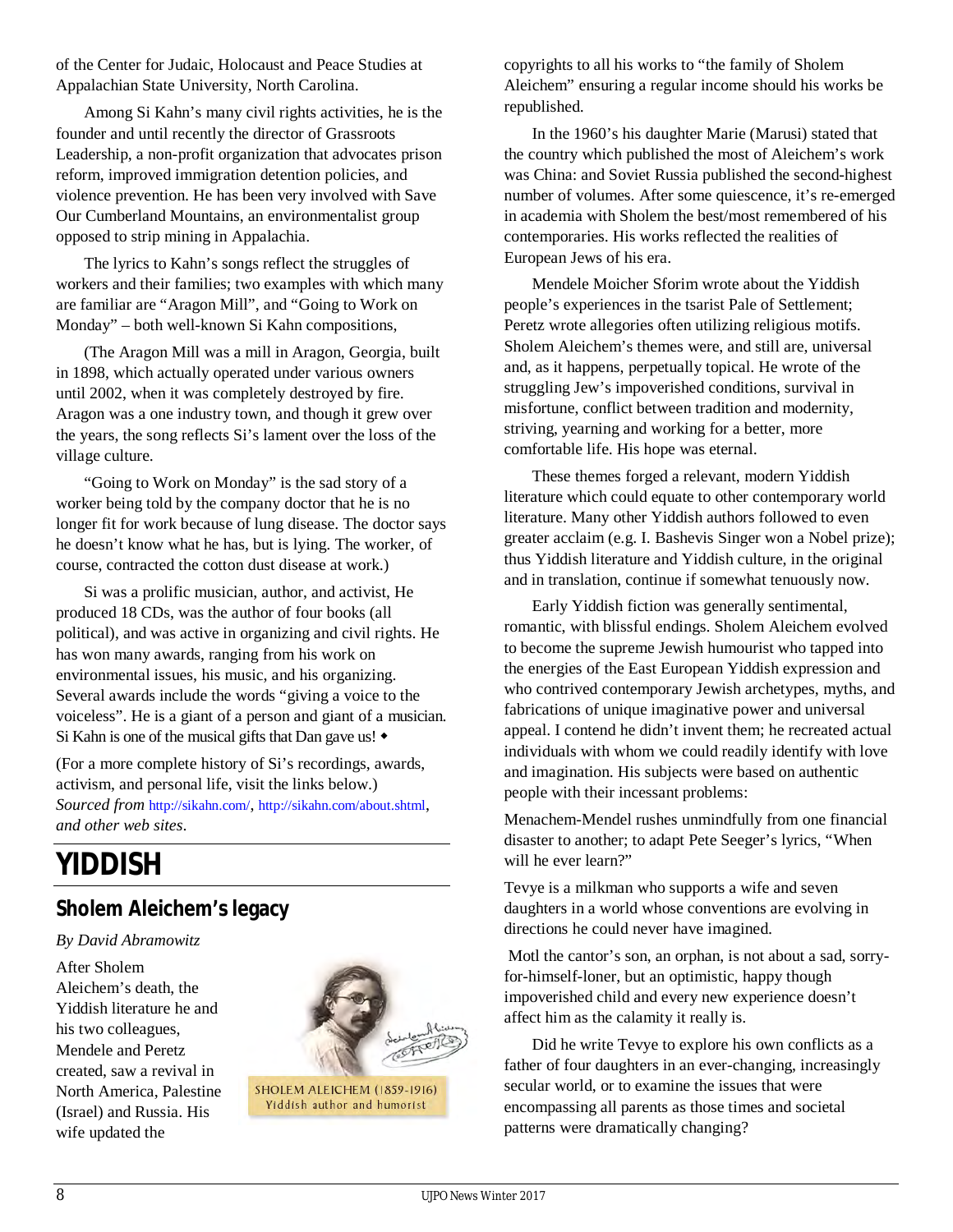of the Center for Judaic, Holocaust and Peace Studies at Appalachian State University, North Carolina.

Among Si Kahn's many civil rights activities, he is the founder and until recently the director of Grassroots Leadership, a non-profit organization that advocates prison reform, improved immigration detention policies, and violence prevention. He has been very involved with Save Our Cumberland Mountains, an environmentalist group opposed to strip mining in Appalachia.

The lyrics to Kahn's songs reflect the struggles of workers and their families; two examples with which many are familiar are "Aragon Mill", and "Going to Work on Monday" – both well-known Si Kahn compositions,

(The Aragon Mill was a mill in Aragon, Georgia, built in 1898, which actually operated under various owners until 2002, when it was completely destroyed by fire. Aragon was a one industry town, and though it grew over the years, the song reflects Si's lament over the loss of the village culture.

"Going to Work on Monday" is the sad story of a worker being told by the company doctor that he is no longer fit for work because of lung disease. The doctor says he doesn't know what he has, but is lying. The worker, of course, contracted the cotton dust disease at work.)

Si was a prolific musician, author, and activist, He produced 18 CDs, was the author of four books (all political), and was active in organizing and civil rights. He has won many awards, ranging from his work on environmental issues, his music, and his organizing. Several awards include the words "giving a voice to the voiceless". He is a giant of a person and giant of a musician. Si Kahn is one of the musical gifts that Dan gave us!  $\bullet$ 

(For a more complete history of Si's recordings, awards, activism, and personal life, visit the links below.) *Sourced from* http://sikahn.com/, http://sikahn.com/about.shtml, *and other web sites*.

# **YIDDISH**

# **Sholem Aleichem's legacy**

### *By David Abramowitz*

After Sholem Aleichem's death, the Yiddish literature he and his two colleagues, Mendele and Peretz created, saw a revival in North America, Palestine (Israel) and Russia. His wife updated the



SHOLEM ALEICHEM (1859-1916) Yiddish author and humorist

copyrights to all his works to "the family of Sholem Aleichem" ensuring a regular income should his works be republished.

In the 1960's his daughter Marie (Marusi) stated that the country which published the most of Aleichem's work was China: and Soviet Russia published the second-highest number of volumes. After some quiescence, it's re-emerged in academia with Sholem the best/most remembered of his contemporaries. His works reflected the realities of European Jews of his era.

Mendele Moicher Sforim wrote about the Yiddish people's experiences in the tsarist Pale of Settlement; Peretz wrote allegories often utilizing religious motifs. Sholem Aleichem's themes were, and still are, universal and, as it happens, perpetually topical. He wrote of the struggling Jew's impoverished conditions, survival in misfortune, conflict between tradition and modernity, striving, yearning and working for a better, more comfortable life. His hope was eternal.

These themes forged a relevant, modern Yiddish literature which could equate to other contemporary world literature. Many other Yiddish authors followed to even greater acclaim (e.g. I. Bashevis Singer won a Nobel prize); thus Yiddish literature and Yiddish culture, in the original and in translation, continue if somewhat tenuously now.

Early Yiddish fiction was generally sentimental, romantic, with blissful endings. Sholem Aleichem evolved to become the supreme Jewish humourist who tapped into the energies of the East European Yiddish expression and who contrived contemporary Jewish archetypes, myths, and fabrications of unique imaginative power and universal appeal. I contend he didn't invent them; he recreated actual individuals with whom we could readily identify with love and imagination. His subjects were based on authentic people with their incessant problems:

Menachem-Mendel rushes unmindfully from one financial disaster to another; to adapt Pete Seeger's lyrics, "When will he ever learn?"

Tevye is a milkman who supports a wife and seven daughters in a world whose conventions are evolving in directions he could never have imagined.

Motl the cantor's son, an orphan, is not about a sad, sorryfor-himself-loner, but an optimistic, happy though impoverished child and every new experience doesn't affect him as the calamity it really is.

Did he write Tevye to explore his own conflicts as a father of four daughters in an ever-changing, increasingly secular world, or to examine the issues that were encompassing all parents as those times and societal patterns were dramatically changing?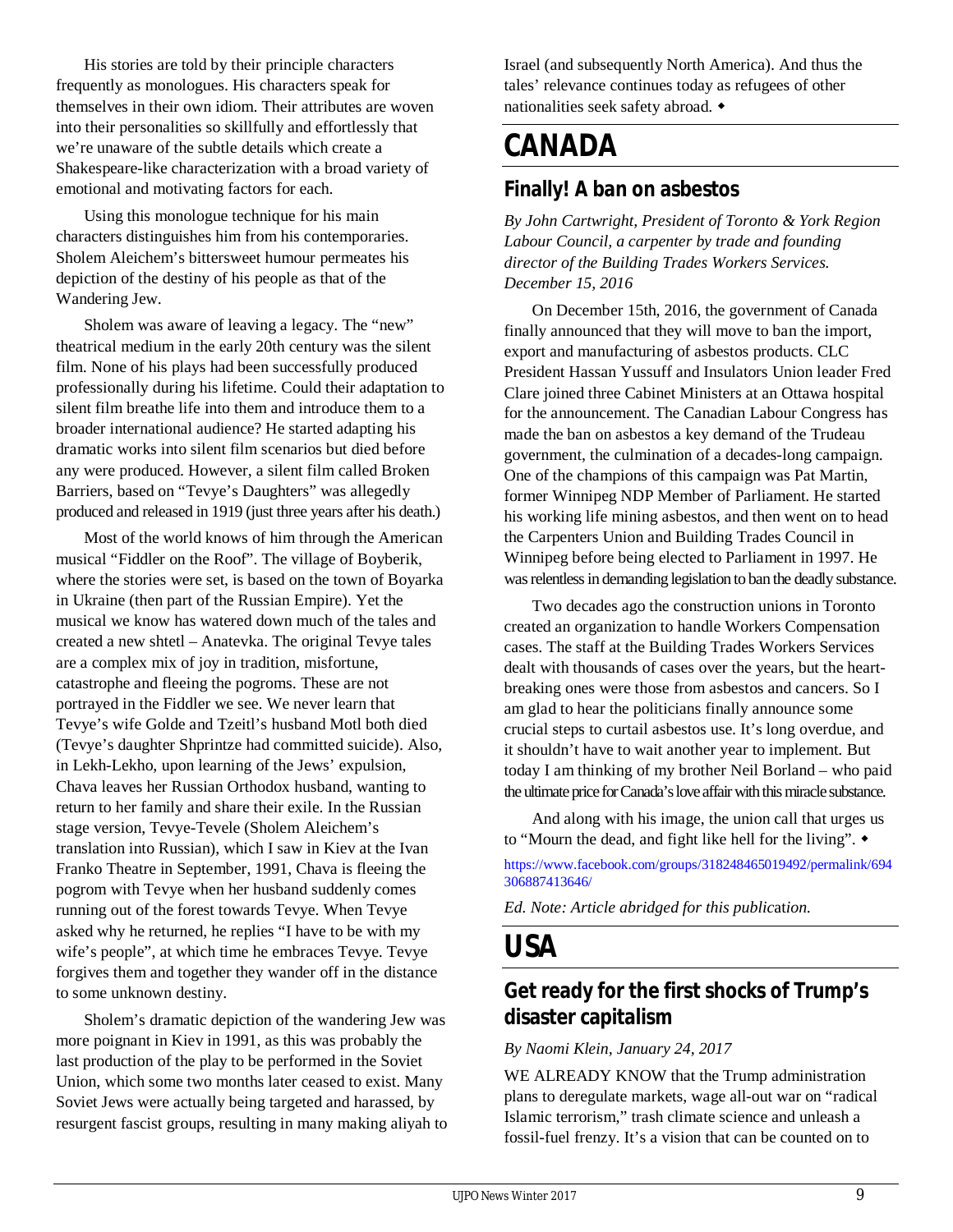His stories are told by their principle characters frequently as monologues. His characters speak for themselves in their own idiom. Their attributes are woven into their personalities so skillfully and effortlessly that we're unaware of the subtle details which create a Shakespeare-like characterization with a broad variety of emotional and motivating factors for each.

Using this monologue technique for his main characters distinguishes him from his contemporaries. Sholem Aleichem's bittersweet humour permeates his depiction of the destiny of his people as that of the Wandering Jew.

Sholem was aware of leaving a legacy. The "new" theatrical medium in the early 20th century was the silent film. None of his plays had been successfully produced professionally during his lifetime. Could their adaptation to silent film breathe life into them and introduce them to a broader international audience? He started adapting his dramatic works into silent film scenarios but died before any were produced. However, a silent film called Broken Barriers, based on "Tevye's Daughters" was allegedly produced and released in 1919 (just three years after his death.)

Most of the world knows of him through the American musical "Fiddler on the Roof". The village of Boyberik, where the stories were set, is based on the town of Boyarka in Ukraine (then part of the Russian Empire). Yet the musical we know has watered down much of the tales and created a new shtetl – Anatevka. The original Tevye tales are a complex mix of joy in tradition, misfortune, catastrophe and fleeing the pogroms. These are not portrayed in the Fiddler we see. We never learn that Tevye's wife Golde and Tzeitl's husband Motl both died (Tevye's daughter Shprintze had committed suicide). Also, in Lekh-Lekho, upon learning of the Jews' expulsion, Chava leaves her Russian Orthodox husband, wanting to return to her family and share their exile. In the Russian stage version, Tevye-Tevele (Sholem Aleichem's translation into Russian), which I saw in Kiev at the Ivan Franko Theatre in September, 1991, Chava is fleeing the pogrom with Tevye when her husband suddenly comes running out of the forest towards Tevye. When Tevye asked why he returned, he replies "I have to be with my wife's people", at which time he embraces Tevye. Tevye forgives them and together they wander off in the distance to some unknown destiny.

Sholem's dramatic depiction of the wandering Jew was more poignant in Kiev in 1991, as this was probably the last production of the play to be performed in the Soviet Union, which some two months later ceased to exist. Many Soviet Jews were actually being targeted and harassed, by resurgent fascist groups, resulting in many making aliyah to Israel (and subsequently North America). And thus the tales' relevance continues today as refugees of other nationalities seek safety abroad.

# **CANADA**

# **Finally! A ban on asbestos**

*By John Cartwright, President of Toronto & York Region Labour Council, a carpenter by trade and founding director of the Building Trades Workers Services. December 15, 2016*

On December 15th, 2016, the government of Canada finally announced that they will move to ban the import, export and manufacturing of asbestos products. CLC President Hassan Yussuff and Insulators Union leader Fred Clare joined three Cabinet Ministers at an Ottawa hospital for the announcement. The Canadian Labour Congress has made the ban on asbestos a key demand of the Trudeau government, the culmination of a decades-long campaign. One of the champions of this campaign was Pat Martin, former Winnipeg NDP Member of Parliament. He started his working life mining asbestos, and then went on to head the Carpenters Union and Building Trades Council in Winnipeg before being elected to Parliament in 1997. He was relentless in demanding legislation to ban the deadly substance.

Two decades ago the construction unions in Toronto created an organization to handle Workers Compensation cases. The staff at the Building Trades Workers Services dealt with thousands of cases over the years, but the heartbreaking ones were those from asbestos and cancers. So I am glad to hear the politicians finally announce some crucial steps to curtail asbestos use. It's long overdue, and it shouldn't have to wait another year to implement. But today I am thinking of my brother Neil Borland – who paid the ultimate price for Canada's love affair with this miracle substance.

And along with his image, the union call that urges us to "Mourn the dead, and fight like hell for the living".

https://www.facebook.com/groups/318248465019492/permalink/694 306887413646/

*Ed. Note: Article abridged for this public*at*ion.*

# **USA**

# **Get ready for the first shocks of Trump's disaster capitalism**

### *By Naomi Klein, January 24, 2017*

WE ALREADY KNOW that the Trump administration plans to deregulate markets, wage all-out war on "radical Islamic terrorism," trash climate science and unleash a fossil-fuel frenzy. It's a vision that can be counted on to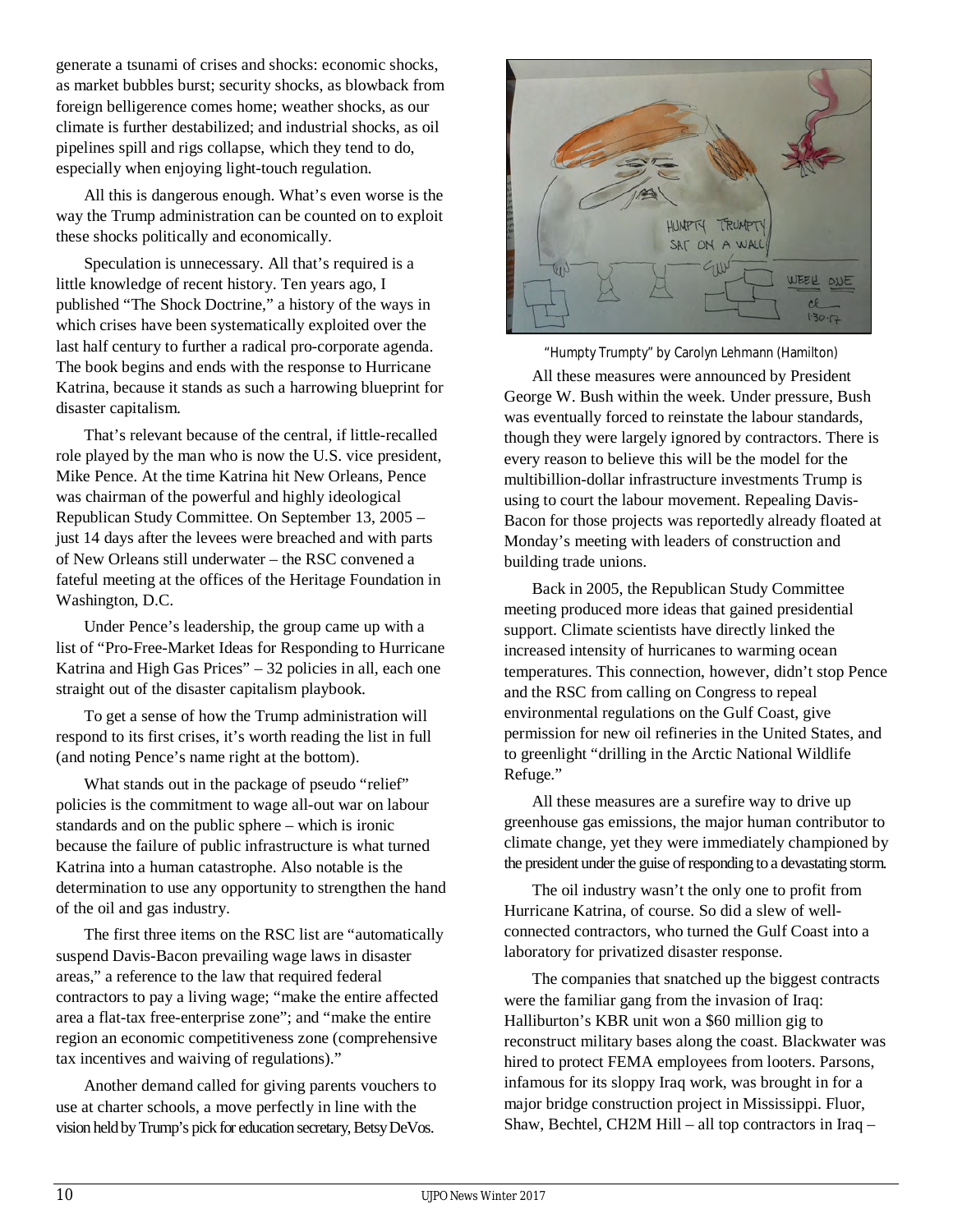generate a tsunami of crises and shocks: economic shocks, as market bubbles burst; security shocks, as blowback from foreign belligerence comes home; weather shocks, as our climate is further destabilized; and industrial shocks, as oil pipelines spill and rigs collapse, which they tend to do, especially when enjoying light-touch regulation.

All this is dangerous enough. What's even worse is the way the Trump administration can be counted on to exploit these shocks politically and economically.

Speculation is unnecessary. All that's required is a little knowledge of recent history. Ten years ago, I published "The Shock Doctrine," a history of the ways in which crises have been systematically exploited over the last half century to further a radical pro-corporate agenda. The book begins and ends with the response to Hurricane Katrina, because it stands as such a harrowing blueprint for disaster capitalism.

That's relevant because of the central, if little-recalled role played by the man who is now the U.S. vice president, Mike Pence. At the time Katrina hit New Orleans, Pence was chairman of the powerful and highly ideological Republican Study Committee. On September 13, 2005 – just 14 days after the levees were breached and with parts of New Orleans still underwater – the RSC convened a fateful meeting at the offices of the Heritage Foundation in Washington, D.C.

Under Pence's leadership, the group came up with a list of "Pro-Free-Market Ideas for Responding to Hurricane Katrina and High Gas Prices" – 32 policies in all, each one straight out of the disaster capitalism playbook.

To get a sense of how the Trump administration will respond to its first crises, it's worth reading the list in full (and noting Pence's name right at the bottom).

What stands out in the package of pseudo "relief" policies is the commitment to wage all-out war on labour standards and on the public sphere – which is ironic because the failure of public infrastructure is what turned Katrina into a human catastrophe. Also notable is the determination to use any opportunity to strengthen the hand of the oil and gas industry.

The first three items on the RSC list are "automatically suspend Davis-Bacon prevailing wage laws in disaster areas," a reference to the law that required federal contractors to pay a living wage; "make the entire affected area a flat-tax free-enterprise zone"; and "make the entire region an economic competitiveness zone (comprehensive tax incentives and waiving of regulations)."

Another demand called for giving parents vouchers to use at charter schools, a move perfectly in line with the vision held by Trump's pick for education secretary, Betsy DeVos.



"Humpty Trumpty" by Carolyn Lehmann (Hamilton)

All these measures were announced by President George W. Bush within the week. Under pressure, Bush was eventually forced to reinstate the labour standards, though they were largely ignored by contractors. There is every reason to believe this will be the model for the multibillion-dollar infrastructure investments Trump is using to court the labour movement. Repealing Davis-Bacon for those projects was reportedly already floated at Monday's meeting with leaders of construction and building trade unions.

Back in 2005, the Republican Study Committee meeting produced more ideas that gained presidential support. Climate scientists have directly linked the increased intensity of hurricanes to warming ocean temperatures. This connection, however, didn't stop Pence and the RSC from calling on Congress to repeal environmental regulations on the Gulf Coast, give permission for new oil refineries in the United States, and to greenlight "drilling in the Arctic National Wildlife Refuge."

All these measures are a surefire way to drive up greenhouse gas emissions, the major human contributor to climate change, yet they were immediately championed by the president under the guise of responding to a devastating storm.

The oil industry wasn't the only one to profit from Hurricane Katrina, of course. So did a slew of wellconnected contractors, who turned the Gulf Coast into a laboratory for privatized disaster response.

The companies that snatched up the biggest contracts were the familiar gang from the invasion of Iraq: Halliburton's KBR unit won a \$60 million gig to reconstruct military bases along the coast. Blackwater was hired to protect FEMA employees from looters. Parsons, infamous for its sloppy Iraq work, was brought in for a major bridge construction project in Mississippi. Fluor, Shaw, Bechtel, CH2M Hill – all top contractors in Iraq –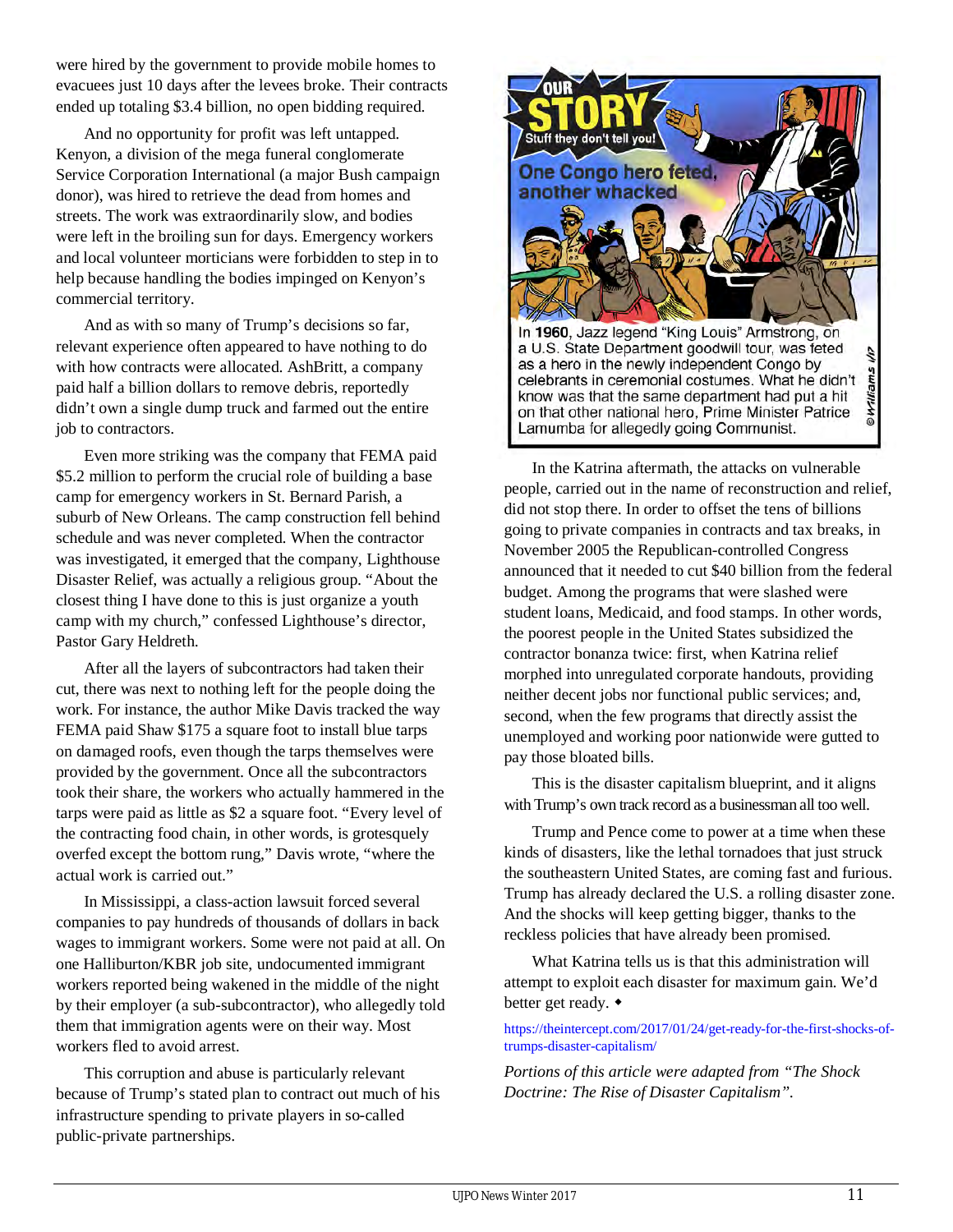were hired by the government to provide mobile homes to evacuees just 10 days after the levees broke. Their contracts ended up totaling \$3.4 billion, no open bidding required.

And no opportunity for profit was left untapped. Kenyon, a division of the mega funeral conglomerate Service Corporation International (a major Bush campaign donor), was hired to retrieve the dead from homes and streets. The work was extraordinarily slow, and bodies were left in the broiling sun for days. Emergency workers and local volunteer morticians were forbidden to step in to help because handling the bodies impinged on Kenyon's commercial territory.

And as with so many of Trump's decisions so far, relevant experience often appeared to have nothing to do with how contracts were allocated. AshBritt, a company paid half a billion dollars to remove debris, reportedly didn't own a single dump truck and farmed out the entire job to contractors.

Even more striking was the company that FEMA paid \$5.2 million to perform the crucial role of building a base camp for emergency workers in St. Bernard Parish, a suburb of New Orleans. The camp construction fell behind schedule and was never completed. When the contractor was investigated, it emerged that the company, Lighthouse Disaster Relief, was actually a religious group. "About the closest thing I have done to this is just organize a youth camp with my church," confessed Lighthouse's director, Pastor Gary Heldreth.

After all the layers of subcontractors had taken their cut, there was next to nothing left for the people doing the work. For instance, the author Mike Davis tracked the way FEMA paid Shaw \$175 a square foot to install blue tarps on damaged roofs, even though the tarps themselves were provided by the government. Once all the subcontractors took their share, the workers who actually hammered in the tarps were paid as little as \$2 a square foot. "Every level of the contracting food chain, in other words, is grotesquely overfed except the bottom rung," Davis wrote, "where the actual work is carried out."

In Mississippi, a class-action lawsuit forced several companies to pay hundreds of thousands of dollars in back wages to immigrant workers. Some were not paid at all. On one Halliburton/KBR job site, undocumented immigrant workers reported being wakened in the middle of the night by their employer (a sub-subcontractor), who allegedly told them that immigration agents were on their way. Most workers fled to avoid arrest.

This corruption and abuse is particularly relevant because of Trump's stated plan to contract out much of his infrastructure spending to private players in so-called public-private partnerships.



In the Katrina aftermath, the attacks on vulnerable people, carried out in the name of reconstruction and relief, did not stop there. In order to offset the tens of billions going to private companies in contracts and tax breaks, in November 2005 the Republican-controlled Congress announced that it needed to cut \$40 billion from the federal budget. Among the programs that were slashed were student loans, Medicaid, and food stamps. In other words, the poorest people in the United States subsidized the contractor bonanza twice: first, when Katrina relief morphed into unregulated corporate handouts, providing neither decent jobs nor functional public services; and, second, when the few programs that directly assist the unemployed and working poor nationwide were gutted to pay those bloated bills.

This is the disaster capitalism blueprint, and it aligns with Trump's own track record as a businessman all too well.

Trump and Pence come to power at a time when these kinds of disasters, like the lethal tornadoes that just struck the southeastern United States, are coming fast and furious. Trump has already declared the U.S. a rolling disaster zone. And the shocks will keep getting bigger, thanks to the reckless policies that have already been promised.

What Katrina tells us is that this administration will attempt to exploit each disaster for maximum gain. We'd better get ready.  $\triangleleft$ 

#### https://theintercept.com/2017/01/24/get-ready-for-the-first-shocks-oftrumps-disaster-capitalism/

*Portions of this article were adapted from "The Shock Doctrine: The Rise of Disaster Capitalism".*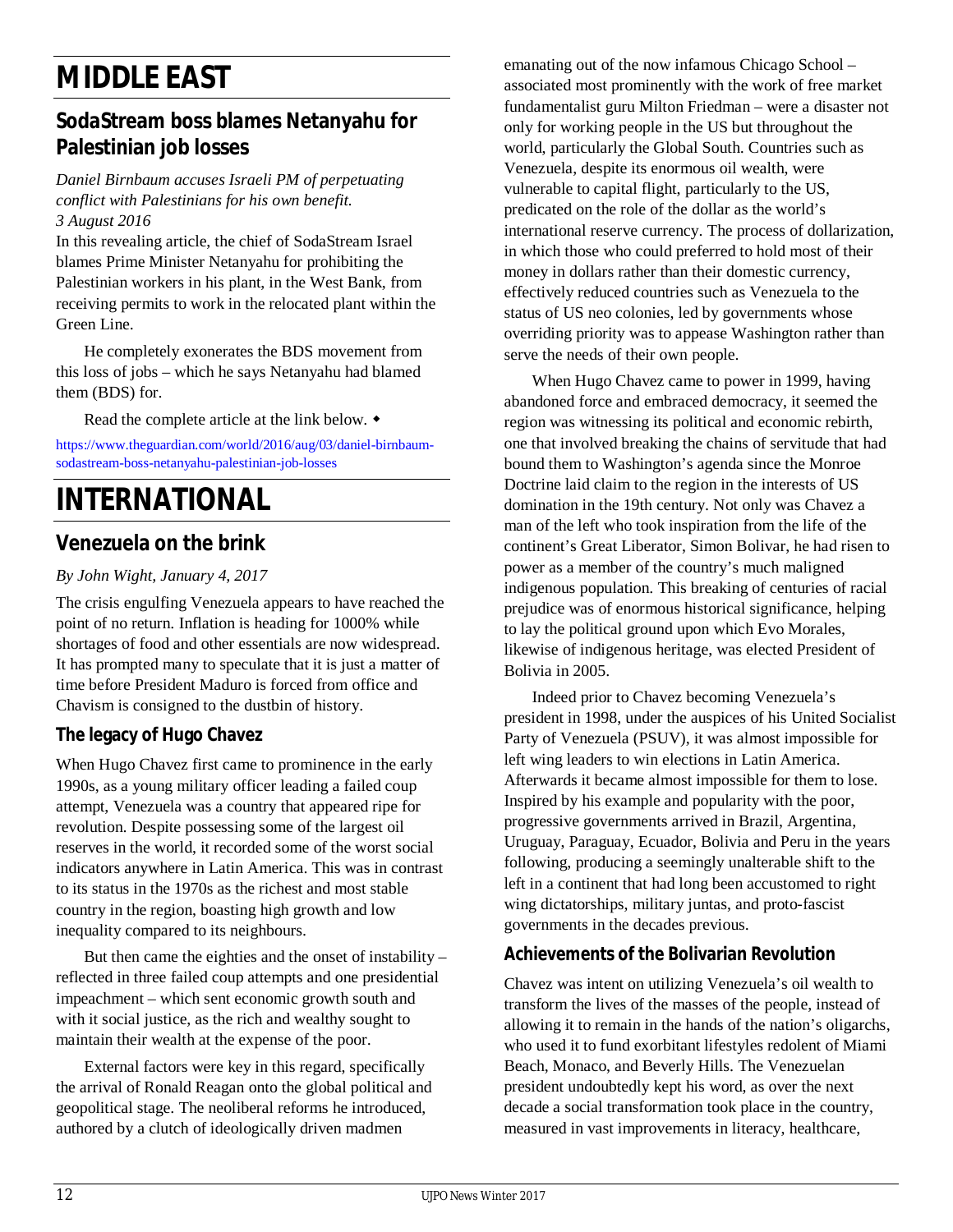# **MIDDLE EAST**

# **SodaStream boss blames Netanyahu for Palestinian job losses**

#### *Daniel Birnbaum accuses Israeli PM of perpetuating conflict with Palestinians for his own benefit. 3 August 2016*

In this revealing article, the chief of SodaStream Israel blames Prime Minister Netanyahu for prohibiting the Palestinian workers in his plant, in the West Bank, from receiving permits to work in the relocated plant within the Green Line.

He completely exonerates the BDS movement from this loss of jobs – which he says Netanyahu had blamed them (BDS) for.

Read the complete article at the link below.

https://www.theguardian.com/world/2016/aug/03/daniel-birnbaumsodastream-boss-netanyahu-palestinian-job-losses

# **INTERNATIONAL**

# **Venezuela on the brink**

### *By John Wight, January 4, 2017*

The crisis engulfing Venezuela appears to have reached the point of no return. Inflation is heading for 1000% while shortages of food and other essentials are now widespread. It has prompted many to speculate that it is just a matter of time before President Maduro is forced from office and Chavism is consigned to the dustbin of history.

# **The legacy of Hugo Chavez**

When Hugo Chavez first came to prominence in the early 1990s, as a young military officer leading a failed coup attempt, Venezuela was a country that appeared ripe for revolution. Despite possessing some of the largest oil reserves in the world, it recorded some of the worst social indicators anywhere in Latin America. This was in contrast to its status in the 1970s as the richest and most stable country in the region, boasting high growth and low inequality compared to its neighbours.

But then came the eighties and the onset of instability – reflected in three failed coup attempts and one presidential impeachment – which sent economic growth south and with it social justice, as the rich and wealthy sought to maintain their wealth at the expense of the poor.

External factors were key in this regard, specifically the arrival of Ronald Reagan onto the global political and geopolitical stage. The neoliberal reforms he introduced, authored by a clutch of ideologically driven madmen

emanating out of the now infamous Chicago School – associated most prominently with the work of free market fundamentalist guru Milton Friedman – were a disaster not only for working people in the US but throughout the world, particularly the Global South. Countries such as Venezuela, despite its enormous oil wealth, were vulnerable to capital flight, particularly to the US, predicated on the role of the dollar as the world's international reserve currency. The process of dollarization, in which those who could preferred to hold most of their money in dollars rather than their domestic currency, effectively reduced countries such as Venezuela to the status of US neo colonies, led by governments whose overriding priority was to appease Washington rather than serve the needs of their own people.

When Hugo Chavez came to power in 1999, having abandoned force and embraced democracy, it seemed the region was witnessing its political and economic rebirth, one that involved breaking the chains of servitude that had bound them to Washington's agenda since the Monroe Doctrine laid claim to the region in the interests of US domination in the 19th century. Not only was Chavez a man of the left who took inspiration from the life of the continent's Great Liberator, Simon Bolivar, he had risen to power as a member of the country's much maligned indigenous population. This breaking of centuries of racial prejudice was of enormous historical significance, helping to lay the political ground upon which Evo Morales, likewise of indigenous heritage, was elected President of Bolivia in 2005.

Indeed prior to Chavez becoming Venezuela's president in 1998, under the auspices of his United Socialist Party of Venezuela (PSUV), it was almost impossible for left wing leaders to win elections in Latin America. Afterwards it became almost impossible for them to lose. Inspired by his example and popularity with the poor, progressive governments arrived in Brazil, Argentina, Uruguay, Paraguay, Ecuador, Bolivia and Peru in the years following, producing a seemingly unalterable shift to the left in a continent that had long been accustomed to right wing dictatorships, military juntas, and proto-fascist governments in the decades previous.

# **Achievements of the Bolivarian Revolution**

Chavez was intent on utilizing Venezuela's oil wealth to transform the lives of the masses of the people, instead of allowing it to remain in the hands of the nation's oligarchs, who used it to fund exorbitant lifestyles redolent of Miami Beach, Monaco, and Beverly Hills. The Venezuelan president undoubtedly kept his word, as over the next decade a social transformation took place in the country, measured in vast improvements in literacy, healthcare,